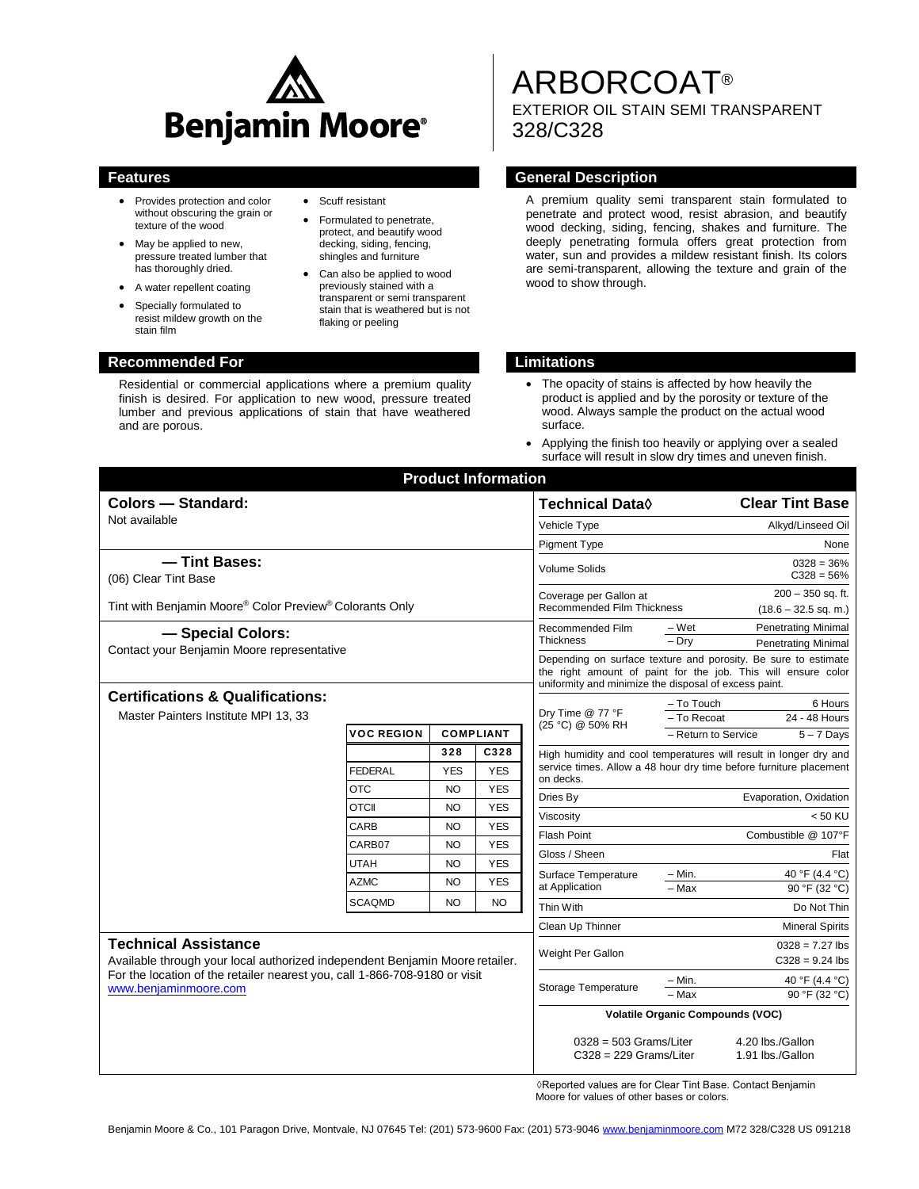

• Scuff resistant

 Formulated to penetrate, protect, and beautify wood decking, siding, fencing, shingles and furniture Can also be applied to wood previously stained with a transparent or semi transparent stain that is weathered but is not

flaking or peeling

- Provides protection and color without obscuring the grain or texture of the wood
- May be applied to new, pressure treated lumber that has thoroughly dried.
- A water repellent coating
- Specially formulated to resist mildew growth on the stain film

Residential or commercial applications where a premium quality finish is desired. For application to new wood, pressure treated lumber and previous applications of stain that have weathered and are porous.

# ARBORCOAT®

EXTERIOR OIL STAIN SEMI TRANSPARENT 328/C328

# **Features General Description**

A premium quality semi transparent stain formulated to penetrate and protect wood, resist abrasion, and beautify wood decking, siding, fencing, shakes and furniture. The deeply penetrating formula offers great protection from water, sun and provides a mildew resistant finish. Its colors are semi-transparent, allowing the texture and grain of the wood to show through.

# **Recommended For Limitations**

- The opacity of stains is affected by how heavily the product is applied and by the porosity or texture of the wood. Always sample the product on the actual wood surface.
- Applying the finish too heavily or applying over a sealed surface will result in slow dry times and uneven finish.

|                                                                                                                                                                                                                    |                   |                | <b>Product Information</b>           |                                                                                                                                                                                          |                                                    |
|--------------------------------------------------------------------------------------------------------------------------------------------------------------------------------------------------------------------|-------------------|----------------|--------------------------------------|------------------------------------------------------------------------------------------------------------------------------------------------------------------------------------------|----------------------------------------------------|
| Colors - Standard:                                                                                                                                                                                                 |                   |                | <b>Technical Data</b> ♦              | <b>Clear Tint Base</b>                                                                                                                                                                   |                                                    |
| Not available                                                                                                                                                                                                      |                   |                | Vehicle Type                         | Alkyd/Linseed Oil                                                                                                                                                                        |                                                    |
|                                                                                                                                                                                                                    |                   |                | <b>Pigment Type</b>                  | None                                                                                                                                                                                     |                                                    |
| - Tint Bases:<br>(06) Clear Tint Base                                                                                                                                                                              |                   |                |                                      | Volume Solids                                                                                                                                                                            | $0328 = 36\%$<br>$C328 = 56%$                      |
| Tint with Benjamin Moore® Color Preview® Colorants Only                                                                                                                                                            |                   |                |                                      | $200 - 350$ sq. ft.<br>Coverage per Gallon at<br><b>Recommended Film Thickness</b><br>$(18.6 - 32.5$ sq. m.)                                                                             |                                                    |
| - Special Colors:                                                                                                                                                                                                  |                   |                | Recommended Film<br><b>Thickness</b> | <b>Penetrating Minimal</b><br>– Wet<br>$-$ Drv<br><b>Penetrating Minimal</b>                                                                                                             |                                                    |
| Contact your Benjamin Moore representative                                                                                                                                                                         |                   |                |                                      | Depending on surface texture and porosity. Be sure to estimate<br>the right amount of paint for the job. This will ensure color<br>uniformity and minimize the disposal of excess paint. |                                                    |
| <b>Certifications &amp; Qualifications:</b><br>Master Painters Institute MPI 13, 33                                                                                                                                |                   |                | Dry Time @ 77 °F<br>(25 °C) @ 50% RH | 6 Hours<br>- To Touch<br>- To Recoat<br>24 - 48 Hours                                                                                                                                    |                                                    |
|                                                                                                                                                                                                                    | <b>VOC REGION</b> |                | <b>COMPLIANT</b>                     |                                                                                                                                                                                          | - Return to Service<br>$5 - 7$ Days                |
|                                                                                                                                                                                                                    |                   | 328            | C328                                 | High humidity and cool temperatures will result in longer dry and<br>service times. Allow a 48 hour dry time before furniture placement<br>on decks.                                     |                                                    |
|                                                                                                                                                                                                                    | <b>FEDERAL</b>    | <b>YES</b>     | <b>YES</b>                           |                                                                                                                                                                                          |                                                    |
|                                                                                                                                                                                                                    | <b>OTC</b>        | <b>NO</b>      | <b>YES</b>                           | Dries By                                                                                                                                                                                 | Evaporation, Oxidation                             |
|                                                                                                                                                                                                                    | <b>OTCII</b>      | NO.            | <b>YES</b>                           | Viscosity                                                                                                                                                                                | < 50 KU                                            |
|                                                                                                                                                                                                                    | CARB              | <b>NO</b>      | <b>YES</b>                           | <b>Flash Point</b>                                                                                                                                                                       | Combustible @ 107°F                                |
|                                                                                                                                                                                                                    | CARB07            | N <sub>O</sub> | <b>YES</b>                           | Gloss / Sheen                                                                                                                                                                            | Flat                                               |
|                                                                                                                                                                                                                    | <b>UTAH</b>       | <b>NO</b>      | <b>YES</b>                           | Surface Temperature<br>at Application                                                                                                                                                    | 40 °F (4.4 °C)<br>$-$ Min.                         |
|                                                                                                                                                                                                                    | <b>AZMC</b>       | N <sub>O</sub> | <b>YES</b>                           |                                                                                                                                                                                          | 90 °F (32 °C)<br>- Max                             |
|                                                                                                                                                                                                                    | <b>SCAQMD</b>     | <b>NO</b>      | <b>NO</b>                            | Thin With                                                                                                                                                                                | Do Not Thin                                        |
|                                                                                                                                                                                                                    |                   |                |                                      | Clean Up Thinner                                                                                                                                                                         | <b>Mineral Spirits</b>                             |
| <b>Technical Assistance</b><br>Available through your local authorized independent Benjamin Moore retailer.<br>For the location of the retailer nearest you, call 1-866-708-9180 or visit<br>www.benjaminmoore.com |                   |                |                                      | Weight Per Gallon                                                                                                                                                                        | $0328 = 7.27$ lbs<br>$C328 = 9.24$ lbs             |
|                                                                                                                                                                                                                    |                   |                |                                      | Storage Temperature                                                                                                                                                                      | 40 °F (4.4 °C)<br>– Min.<br>90 °F (32 °C)<br>- Max |
|                                                                                                                                                                                                                    |                   |                |                                      | <b>Volatile Organic Compounds (VOC)</b>                                                                                                                                                  |                                                    |
|                                                                                                                                                                                                                    |                   |                |                                      | $0328 = 503$ Grams/Liter<br>$C328 = 229$ Grams/Liter                                                                                                                                     | 4.20 lbs./Gallon<br>1.91 lbs./Gallon               |

 ◊Reported values are for Clear Tint Base. Contact Benjamin Moore for values of other bases or colors.